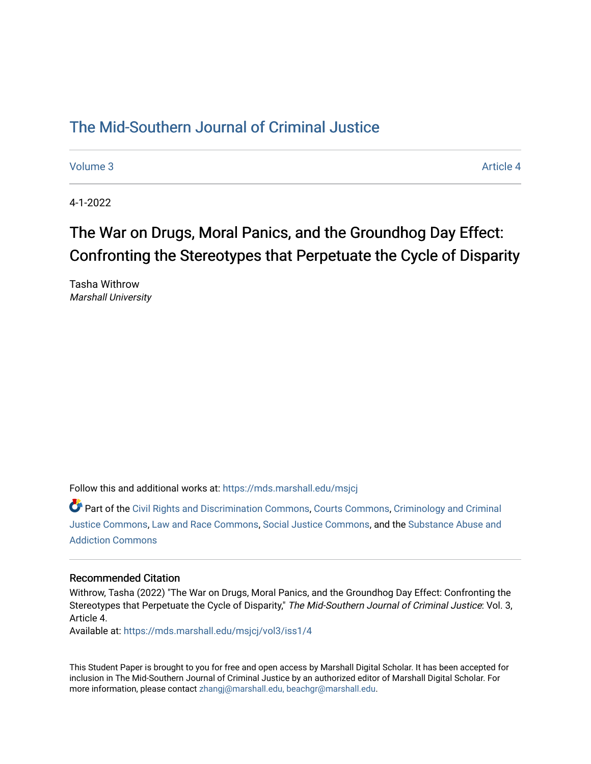## [The Mid-Southern Journal of Criminal Justice](https://mds.marshall.edu/msjcj)

[Volume 3](https://mds.marshall.edu/msjcj/vol3) Article 4

4-1-2022

# The War on Drugs, Moral Panics, and the Groundhog Day Effect: Confronting the Stereotypes that Perpetuate the Cycle of Disparity

Tasha Withrow Marshall University

Follow this and additional works at: [https://mds.marshall.edu/msjcj](https://mds.marshall.edu/msjcj?utm_source=mds.marshall.edu%2Fmsjcj%2Fvol3%2Fiss1%2F4&utm_medium=PDF&utm_campaign=PDFCoverPages)

Part of the [Civil Rights and Discrimination Commons,](http://network.bepress.com/hgg/discipline/585?utm_source=mds.marshall.edu%2Fmsjcj%2Fvol3%2Fiss1%2F4&utm_medium=PDF&utm_campaign=PDFCoverPages) [Courts Commons,](http://network.bepress.com/hgg/discipline/839?utm_source=mds.marshall.edu%2Fmsjcj%2Fvol3%2Fiss1%2F4&utm_medium=PDF&utm_campaign=PDFCoverPages) [Criminology and Criminal](http://network.bepress.com/hgg/discipline/367?utm_source=mds.marshall.edu%2Fmsjcj%2Fvol3%2Fiss1%2F4&utm_medium=PDF&utm_campaign=PDFCoverPages)  [Justice Commons](http://network.bepress.com/hgg/discipline/367?utm_source=mds.marshall.edu%2Fmsjcj%2Fvol3%2Fiss1%2F4&utm_medium=PDF&utm_campaign=PDFCoverPages), [Law and Race Commons](http://network.bepress.com/hgg/discipline/1300?utm_source=mds.marshall.edu%2Fmsjcj%2Fvol3%2Fiss1%2F4&utm_medium=PDF&utm_campaign=PDFCoverPages), [Social Justice Commons](http://network.bepress.com/hgg/discipline/1432?utm_source=mds.marshall.edu%2Fmsjcj%2Fvol3%2Fiss1%2F4&utm_medium=PDF&utm_campaign=PDFCoverPages), and the [Substance Abuse and](http://network.bepress.com/hgg/discipline/710?utm_source=mds.marshall.edu%2Fmsjcj%2Fvol3%2Fiss1%2F4&utm_medium=PDF&utm_campaign=PDFCoverPages)  [Addiction Commons](http://network.bepress.com/hgg/discipline/710?utm_source=mds.marshall.edu%2Fmsjcj%2Fvol3%2Fiss1%2F4&utm_medium=PDF&utm_campaign=PDFCoverPages) 

## Recommended Citation

Withrow, Tasha (2022) "The War on Drugs, Moral Panics, and the Groundhog Day Effect: Confronting the Stereotypes that Perpetuate the Cycle of Disparity," The Mid-Southern Journal of Criminal Justice: Vol. 3, Article 4.

Available at: [https://mds.marshall.edu/msjcj/vol3/iss1/4](https://mds.marshall.edu/msjcj/vol3/iss1/4?utm_source=mds.marshall.edu%2Fmsjcj%2Fvol3%2Fiss1%2F4&utm_medium=PDF&utm_campaign=PDFCoverPages)

This Student Paper is brought to you for free and open access by Marshall Digital Scholar. It has been accepted for inclusion in The Mid-Southern Journal of Criminal Justice by an authorized editor of Marshall Digital Scholar. For more information, please contact [zhangj@marshall.edu, beachgr@marshall.edu](mailto:zhangj@marshall.edu,%20beachgr@marshall.edu).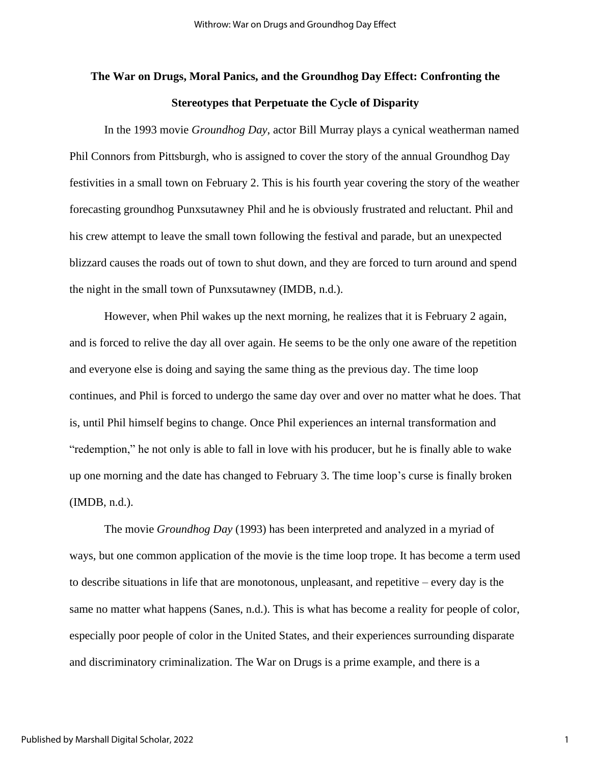## **The War on Drugs, Moral Panics, and the Groundhog Day Effect: Confronting the Stereotypes that Perpetuate the Cycle of Disparity**

In the 1993 movie *Groundhog Day*, actor Bill Murray plays a cynical weatherman named Phil Connors from Pittsburgh, who is assigned to cover the story of the annual Groundhog Day festivities in a small town on February 2. This is his fourth year covering the story of the weather forecasting groundhog Punxsutawney Phil and he is obviously frustrated and reluctant. Phil and his crew attempt to leave the small town following the festival and parade, but an unexpected blizzard causes the roads out of town to shut down, and they are forced to turn around and spend the night in the small town of Punxsutawney (IMDB, n.d.).

However, when Phil wakes up the next morning, he realizes that it is February 2 again, and is forced to relive the day all over again. He seems to be the only one aware of the repetition and everyone else is doing and saying the same thing as the previous day. The time loop continues, and Phil is forced to undergo the same day over and over no matter what he does. That is, until Phil himself begins to change. Once Phil experiences an internal transformation and "redemption," he not only is able to fall in love with his producer, but he is finally able to wake up one morning and the date has changed to February 3. The time loop's curse is finally broken (IMDB, n.d.).

The movie *Groundhog Day* (1993) has been interpreted and analyzed in a myriad of ways, but one common application of the movie is the time loop trope. It has become a term used to describe situations in life that are monotonous, unpleasant, and repetitive – every day is the same no matter what happens (Sanes, n.d.). This is what has become a reality for people of color, especially poor people of color in the United States, and their experiences surrounding disparate and discriminatory criminalization. The War on Drugs is a prime example, and there is a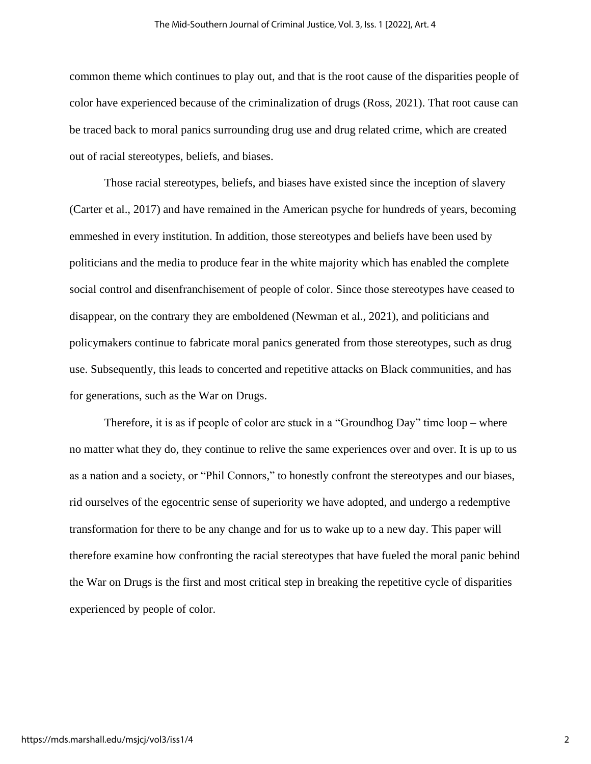common theme which continues to play out, and that is the root cause of the disparities people of color have experienced because of the criminalization of drugs (Ross, 2021). That root cause can be traced back to moral panics surrounding drug use and drug related crime, which are created out of racial stereotypes, beliefs, and biases.

Those racial stereotypes, beliefs, and biases have existed since the inception of slavery (Carter et al., 2017) and have remained in the American psyche for hundreds of years, becoming emmeshed in every institution. In addition, those stereotypes and beliefs have been used by politicians and the media to produce fear in the white majority which has enabled the complete social control and disenfranchisement of people of color. Since those stereotypes have ceased to disappear, on the contrary they are emboldened (Newman et al., 2021), and politicians and policymakers continue to fabricate moral panics generated from those stereotypes, such as drug use. Subsequently, this leads to concerted and repetitive attacks on Black communities, and has for generations, such as the War on Drugs.

Therefore, it is as if people of color are stuck in a "Groundhog Day" time loop – where no matter what they do, they continue to relive the same experiences over and over. It is up to us as a nation and a society, or "Phil Connors," to honestly confront the stereotypes and our biases, rid ourselves of the egocentric sense of superiority we have adopted, and undergo a redemptive transformation for there to be any change and for us to wake up to a new day. This paper will therefore examine how confronting the racial stereotypes that have fueled the moral panic behind the War on Drugs is the first and most critical step in breaking the repetitive cycle of disparities experienced by people of color.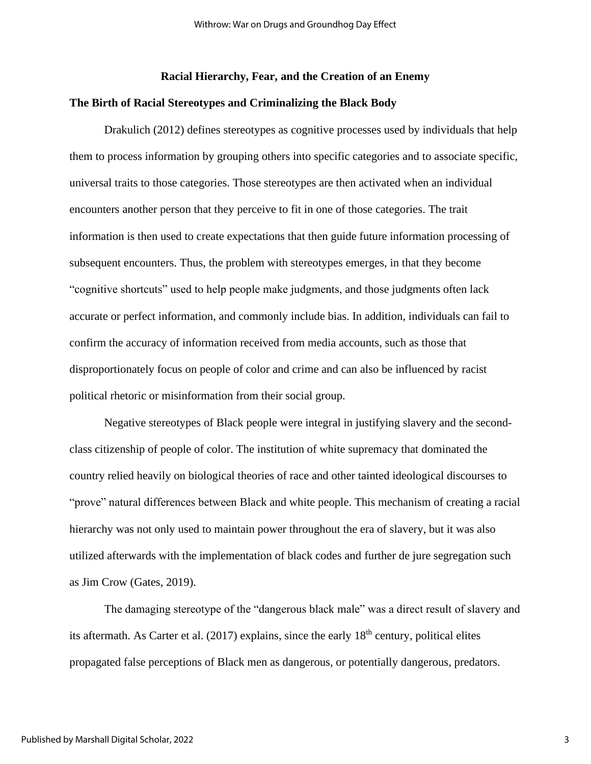## **Racial Hierarchy, Fear, and the Creation of an Enemy**

## **The Birth of Racial Stereotypes and Criminalizing the Black Body**

Drakulich (2012) defines stereotypes as cognitive processes used by individuals that help them to process information by grouping others into specific categories and to associate specific, universal traits to those categories. Those stereotypes are then activated when an individual encounters another person that they perceive to fit in one of those categories. The trait information is then used to create expectations that then guide future information processing of subsequent encounters. Thus, the problem with stereotypes emerges, in that they become "cognitive shortcuts" used to help people make judgments, and those judgments often lack accurate or perfect information, and commonly include bias. In addition, individuals can fail to confirm the accuracy of information received from media accounts, such as those that disproportionately focus on people of color and crime and can also be influenced by racist political rhetoric or misinformation from their social group.

Negative stereotypes of Black people were integral in justifying slavery and the secondclass citizenship of people of color. The institution of white supremacy that dominated the country relied heavily on biological theories of race and other tainted ideological discourses to "prove" natural differences between Black and white people. This mechanism of creating a racial hierarchy was not only used to maintain power throughout the era of slavery, but it was also utilized afterwards with the implementation of black codes and further de jure segregation such as Jim Crow (Gates, 2019).

The damaging stereotype of the "dangerous black male" was a direct result of slavery and its aftermath. As Carter et al.  $(2017)$  explains, since the early  $18<sup>th</sup>$  century, political elites propagated false perceptions of Black men as dangerous, or potentially dangerous, predators.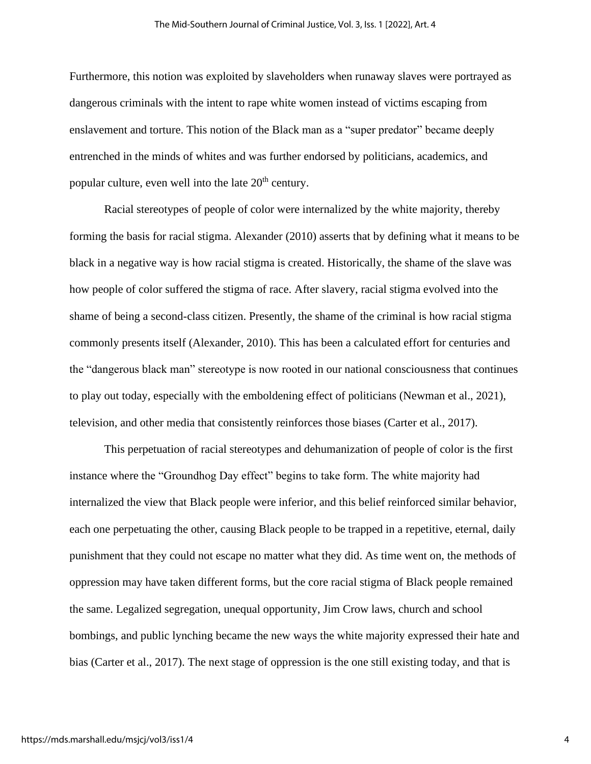Furthermore, this notion was exploited by slaveholders when runaway slaves were portrayed as dangerous criminals with the intent to rape white women instead of victims escaping from enslavement and torture. This notion of the Black man as a "super predator" became deeply entrenched in the minds of whites and was further endorsed by politicians, academics, and popular culture, even well into the late  $20<sup>th</sup>$  century.

Racial stereotypes of people of color were internalized by the white majority, thereby forming the basis for racial stigma. Alexander (2010) asserts that by defining what it means to be black in a negative way is how racial stigma is created. Historically, the shame of the slave was how people of color suffered the stigma of race. After slavery, racial stigma evolved into the shame of being a second-class citizen. Presently, the shame of the criminal is how racial stigma commonly presents itself (Alexander, 2010). This has been a calculated effort for centuries and the "dangerous black man" stereotype is now rooted in our national consciousness that continues to play out today, especially with the emboldening effect of politicians (Newman et al., 2021), television, and other media that consistently reinforces those biases (Carter et al., 2017).

This perpetuation of racial stereotypes and dehumanization of people of color is the first instance where the "Groundhog Day effect" begins to take form. The white majority had internalized the view that Black people were inferior, and this belief reinforced similar behavior, each one perpetuating the other, causing Black people to be trapped in a repetitive, eternal, daily punishment that they could not escape no matter what they did. As time went on, the methods of oppression may have taken different forms, but the core racial stigma of Black people remained the same. Legalized segregation, unequal opportunity, Jim Crow laws, church and school bombings, and public lynching became the new ways the white majority expressed their hate and bias (Carter et al., 2017). The next stage of oppression is the one still existing today, and that is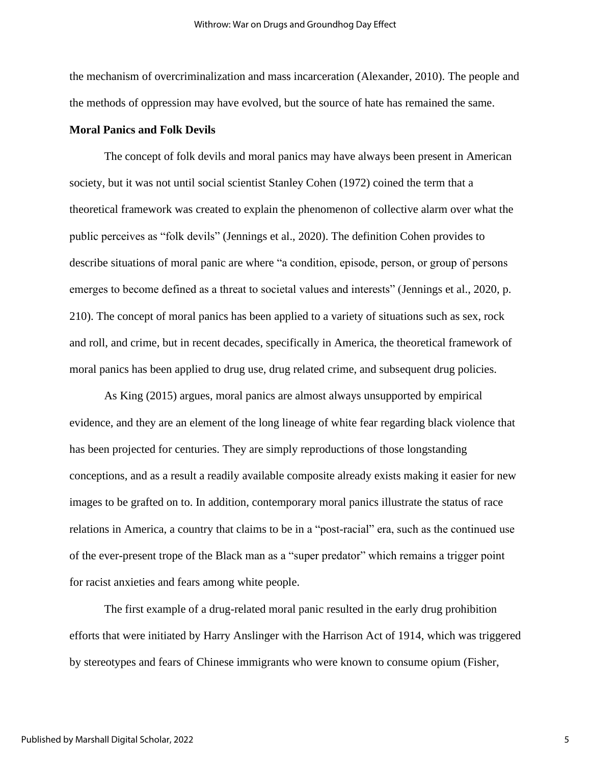the mechanism of overcriminalization and mass incarceration (Alexander, 2010). The people and the methods of oppression may have evolved, but the source of hate has remained the same.

## **Moral Panics and Folk Devils**

The concept of folk devils and moral panics may have always been present in American society, but it was not until social scientist Stanley Cohen (1972) coined the term that a theoretical framework was created to explain the phenomenon of collective alarm over what the public perceives as "folk devils" (Jennings et al., 2020). The definition Cohen provides to describe situations of moral panic are where "a condition, episode, person, or group of persons emerges to become defined as a threat to societal values and interests" (Jennings et al., 2020, p. 210). The concept of moral panics has been applied to a variety of situations such as sex, rock and roll, and crime, but in recent decades, specifically in America, the theoretical framework of moral panics has been applied to drug use, drug related crime, and subsequent drug policies.

As King (2015) argues, moral panics are almost always unsupported by empirical evidence, and they are an element of the long lineage of white fear regarding black violence that has been projected for centuries. They are simply reproductions of those longstanding conceptions, and as a result a readily available composite already exists making it easier for new images to be grafted on to. In addition, contemporary moral panics illustrate the status of race relations in America, a country that claims to be in a "post-racial" era, such as the continued use of the ever-present trope of the Black man as a "super predator" which remains a trigger point for racist anxieties and fears among white people.

The first example of a drug-related moral panic resulted in the early drug prohibition efforts that were initiated by Harry Anslinger with the Harrison Act of 1914, which was triggered by stereotypes and fears of Chinese immigrants who were known to consume opium (Fisher,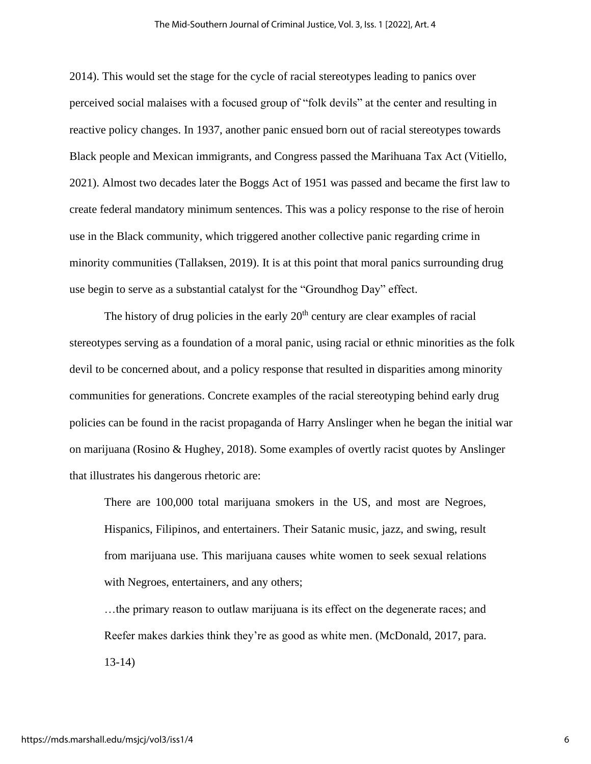2014). This would set the stage for the cycle of racial stereotypes leading to panics over perceived social malaises with a focused group of "folk devils" at the center and resulting in reactive policy changes. In 1937, another panic ensued born out of racial stereotypes towards Black people and Mexican immigrants, and Congress passed the Marihuana Tax Act (Vitiello, 2021). Almost two decades later the Boggs Act of 1951 was passed and became the first law to create federal mandatory minimum sentences. This was a policy response to the rise of heroin use in the Black community, which triggered another collective panic regarding crime in minority communities (Tallaksen, 2019). It is at this point that moral panics surrounding drug use begin to serve as a substantial catalyst for the "Groundhog Day" effect.

The history of drug policies in the early  $20<sup>th</sup>$  century are clear examples of racial stereotypes serving as a foundation of a moral panic, using racial or ethnic minorities as the folk devil to be concerned about, and a policy response that resulted in disparities among minority communities for generations. Concrete examples of the racial stereotyping behind early drug policies can be found in the racist propaganda of Harry Anslinger when he began the initial war on marijuana (Rosino & Hughey, 2018). Some examples of overtly racist quotes by Anslinger that illustrates his dangerous rhetoric are:

There are 100,000 total marijuana smokers in the US, and most are Negroes, Hispanics, Filipinos, and entertainers. Their Satanic music, jazz, and swing, result from marijuana use. This marijuana causes white women to seek sexual relations with Negroes, entertainers, and any others;

…the primary reason to outlaw marijuana is its effect on the degenerate races; and Reefer makes darkies think they're as good as white men. (McDonald, 2017, para. 13-14)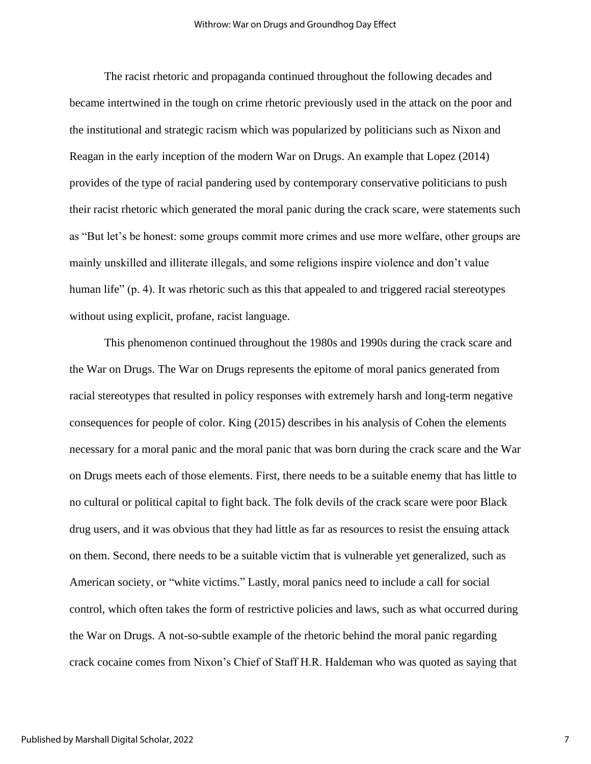The racist rhetoric and propaganda continued throughout the following decades and became intertwined in the tough on crime rhetoric previously used in the attack on the poor and the institutional and strategic racism which was popularized by politicians such as Nixon and Reagan in the early inception of the modern War on Drugs. An example that Lopez (2014) provides of the type of racial pandering used by contemporary conservative politicians to push their racist rhetoric which generated the moral panic during the crack scare, were statements such as "But let's be honest: some groups commit more crimes and use more welfare, other groups are mainly unskilled and illiterate illegals, and some religions inspire violence and don't value human life" (p. 4). It was rhetoric such as this that appealed to and triggered racial stereotypes without using explicit, profane, racist language.

This phenomenon continued throughout the 1980s and 1990s during the crack scare and the War on Drugs. The War on Drugs represents the epitome of moral panics generated from racial stereotypes that resulted in policy responses with extremely harsh and long-term negative consequences for people of color. King (2015) describes in his analysis of Cohen the elements necessary for a moral panic and the moral panic that was born during the crack scare and the War on Drugs meets each of those elements. First, there needs to be a suitable enemy that has little to no cultural or political capital to fight back. The folk devils of the crack scare were poor Black drug users, and it was obvious that they had little as far as resources to resist the ensuing attack on them. Second, there needs to be a suitable victim that is vulnerable yet generalized, such as American society, or "white victims." Lastly, moral panics need to include a call for social control, which often takes the form of restrictive policies and laws, such as what occurred during the War on Drugs. A not-so-subtle example of the rhetoric behind the moral panic regarding crack cocaine comes from Nixon's Chief of Staff H.R. Haldeman who was quoted as saying that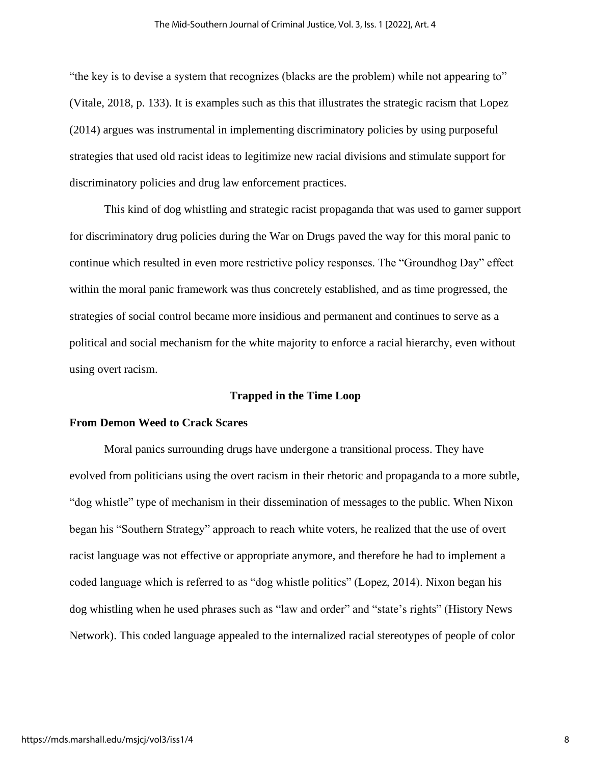"the key is to devise a system that recognizes (blacks are the problem) while not appearing to" (Vitale, 2018, p. 133). It is examples such as this that illustrates the strategic racism that Lopez (2014) argues was instrumental in implementing discriminatory policies by using purposeful strategies that used old racist ideas to legitimize new racial divisions and stimulate support for discriminatory policies and drug law enforcement practices.

This kind of dog whistling and strategic racist propaganda that was used to garner support for discriminatory drug policies during the War on Drugs paved the way for this moral panic to continue which resulted in even more restrictive policy responses. The "Groundhog Day" effect within the moral panic framework was thus concretely established, and as time progressed, the strategies of social control became more insidious and permanent and continues to serve as a political and social mechanism for the white majority to enforce a racial hierarchy, even without using overt racism.

#### **Trapped in the Time Loop**

## **From Demon Weed to Crack Scares**

Moral panics surrounding drugs have undergone a transitional process. They have evolved from politicians using the overt racism in their rhetoric and propaganda to a more subtle, "dog whistle" type of mechanism in their dissemination of messages to the public. When Nixon began his "Southern Strategy" approach to reach white voters, he realized that the use of overt racist language was not effective or appropriate anymore, and therefore he had to implement a coded language which is referred to as "dog whistle politics" (Lopez, 2014). Nixon began his dog whistling when he used phrases such as "law and order" and "state's rights" (History News Network). This coded language appealed to the internalized racial stereotypes of people of color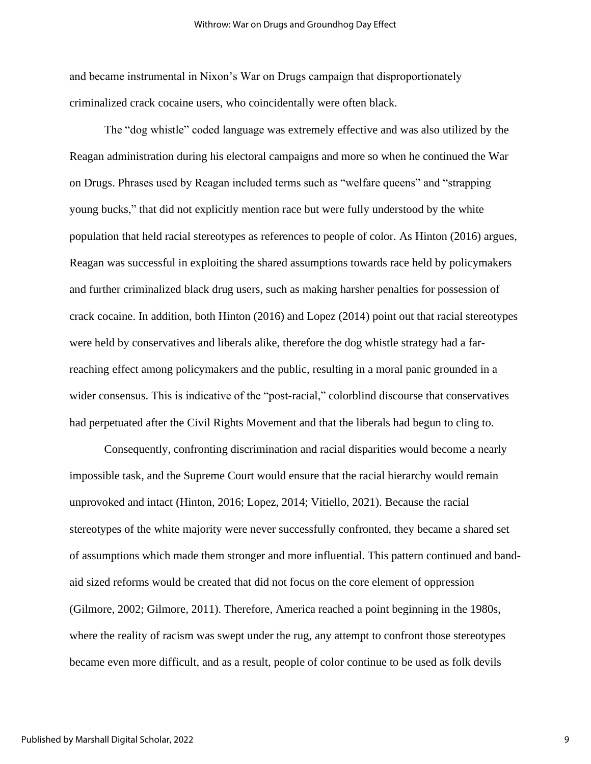and became instrumental in Nixon's War on Drugs campaign that disproportionately criminalized crack cocaine users, who coincidentally were often black.

The "dog whistle" coded language was extremely effective and was also utilized by the Reagan administration during his electoral campaigns and more so when he continued the War on Drugs. Phrases used by Reagan included terms such as "welfare queens" and "strapping young bucks," that did not explicitly mention race but were fully understood by the white population that held racial stereotypes as references to people of color. As Hinton (2016) argues, Reagan was successful in exploiting the shared assumptions towards race held by policymakers and further criminalized black drug users, such as making harsher penalties for possession of crack cocaine. In addition, both Hinton (2016) and Lopez (2014) point out that racial stereotypes were held by conservatives and liberals alike, therefore the dog whistle strategy had a farreaching effect among policymakers and the public, resulting in a moral panic grounded in a wider consensus. This is indicative of the "post-racial," colorblind discourse that conservatives had perpetuated after the Civil Rights Movement and that the liberals had begun to cling to.

Consequently, confronting discrimination and racial disparities would become a nearly impossible task, and the Supreme Court would ensure that the racial hierarchy would remain unprovoked and intact (Hinton, 2016; Lopez, 2014; Vitiello, 2021). Because the racial stereotypes of the white majority were never successfully confronted, they became a shared set of assumptions which made them stronger and more influential. This pattern continued and bandaid sized reforms would be created that did not focus on the core element of oppression (Gilmore, 2002; Gilmore, 2011). Therefore, America reached a point beginning in the 1980s, where the reality of racism was swept under the rug, any attempt to confront those stereotypes became even more difficult, and as a result, people of color continue to be used as folk devils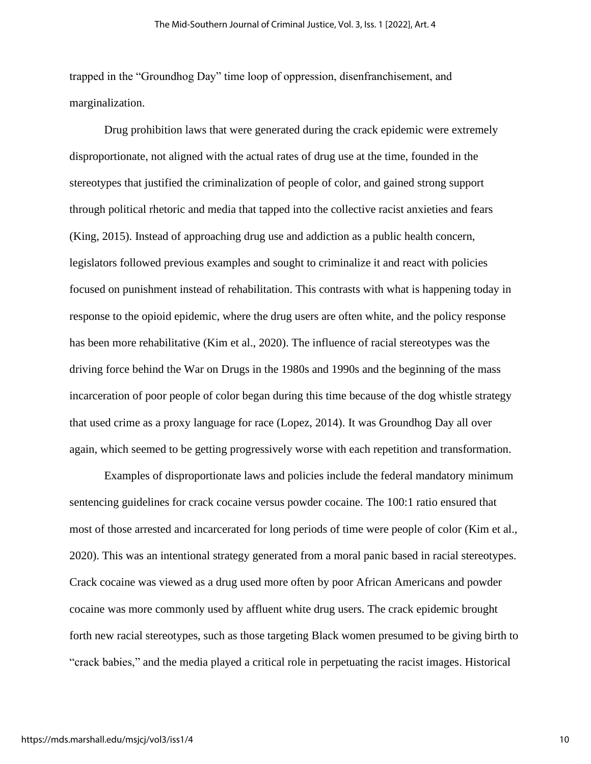trapped in the "Groundhog Day" time loop of oppression, disenfranchisement, and marginalization.

Drug prohibition laws that were generated during the crack epidemic were extremely disproportionate, not aligned with the actual rates of drug use at the time, founded in the stereotypes that justified the criminalization of people of color, and gained strong support through political rhetoric and media that tapped into the collective racist anxieties and fears (King, 2015). Instead of approaching drug use and addiction as a public health concern, legislators followed previous examples and sought to criminalize it and react with policies focused on punishment instead of rehabilitation. This contrasts with what is happening today in response to the opioid epidemic, where the drug users are often white, and the policy response has been more rehabilitative (Kim et al., 2020). The influence of racial stereotypes was the driving force behind the War on Drugs in the 1980s and 1990s and the beginning of the mass incarceration of poor people of color began during this time because of the dog whistle strategy that used crime as a proxy language for race (Lopez, 2014). It was Groundhog Day all over again, which seemed to be getting progressively worse with each repetition and transformation.

Examples of disproportionate laws and policies include the federal mandatory minimum sentencing guidelines for crack cocaine versus powder cocaine. The 100:1 ratio ensured that most of those arrested and incarcerated for long periods of time were people of color (Kim et al., 2020). This was an intentional strategy generated from a moral panic based in racial stereotypes. Crack cocaine was viewed as a drug used more often by poor African Americans and powder cocaine was more commonly used by affluent white drug users. The crack epidemic brought forth new racial stereotypes, such as those targeting Black women presumed to be giving birth to "crack babies," and the media played a critical role in perpetuating the racist images. Historical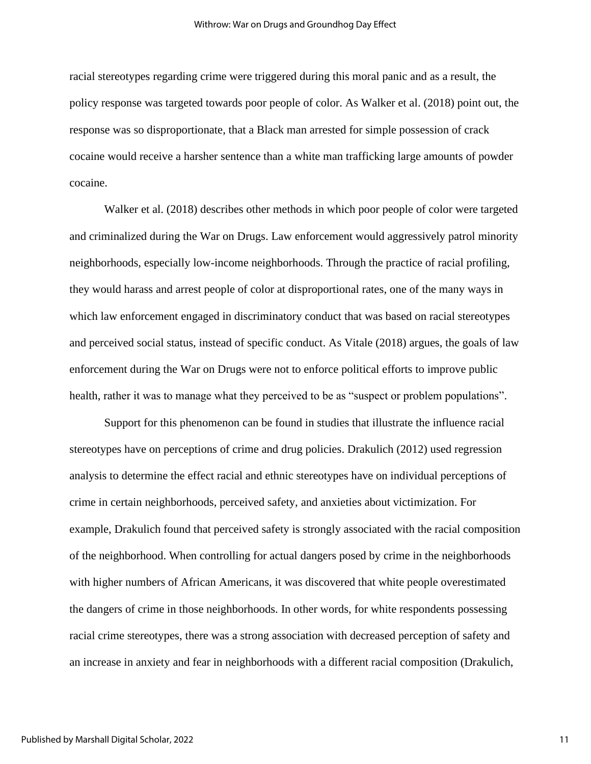racial stereotypes regarding crime were triggered during this moral panic and as a result, the policy response was targeted towards poor people of color. As Walker et al. (2018) point out, the response was so disproportionate, that a Black man arrested for simple possession of crack cocaine would receive a harsher sentence than a white man trafficking large amounts of powder cocaine.

Walker et al. (2018) describes other methods in which poor people of color were targeted and criminalized during the War on Drugs. Law enforcement would aggressively patrol minority neighborhoods, especially low-income neighborhoods. Through the practice of racial profiling, they would harass and arrest people of color at disproportional rates, one of the many ways in which law enforcement engaged in discriminatory conduct that was based on racial stereotypes and perceived social status, instead of specific conduct. As Vitale (2018) argues, the goals of law enforcement during the War on Drugs were not to enforce political efforts to improve public health, rather it was to manage what they perceived to be as "suspect or problem populations".

Support for this phenomenon can be found in studies that illustrate the influence racial stereotypes have on perceptions of crime and drug policies. Drakulich (2012) used regression analysis to determine the effect racial and ethnic stereotypes have on individual perceptions of crime in certain neighborhoods, perceived safety, and anxieties about victimization. For example, Drakulich found that perceived safety is strongly associated with the racial composition of the neighborhood. When controlling for actual dangers posed by crime in the neighborhoods with higher numbers of African Americans, it was discovered that white people overestimated the dangers of crime in those neighborhoods. In other words, for white respondents possessing racial crime stereotypes, there was a strong association with decreased perception of safety and an increase in anxiety and fear in neighborhoods with a different racial composition (Drakulich,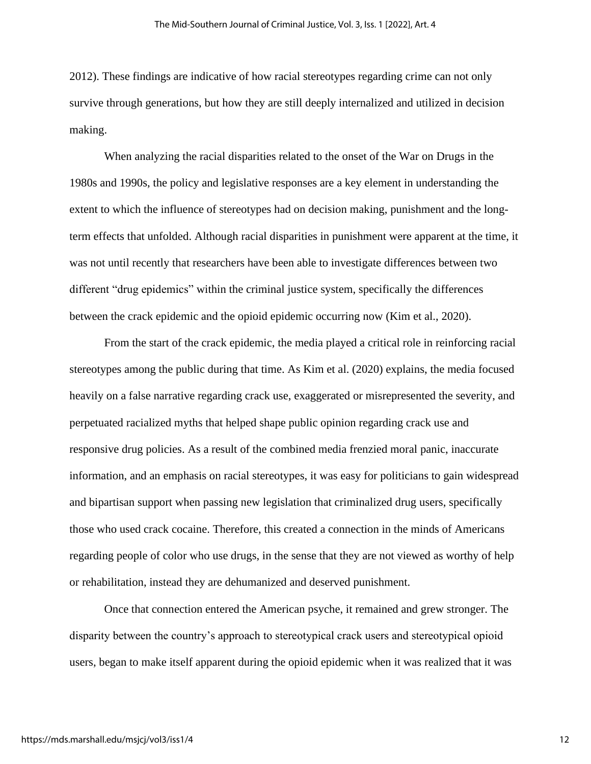2012). These findings are indicative of how racial stereotypes regarding crime can not only survive through generations, but how they are still deeply internalized and utilized in decision making.

When analyzing the racial disparities related to the onset of the War on Drugs in the 1980s and 1990s, the policy and legislative responses are a key element in understanding the extent to which the influence of stereotypes had on decision making, punishment and the longterm effects that unfolded. Although racial disparities in punishment were apparent at the time, it was not until recently that researchers have been able to investigate differences between two different "drug epidemics" within the criminal justice system, specifically the differences between the crack epidemic and the opioid epidemic occurring now (Kim et al., 2020).

From the start of the crack epidemic, the media played a critical role in reinforcing racial stereotypes among the public during that time. As Kim et al. (2020) explains, the media focused heavily on a false narrative regarding crack use, exaggerated or misrepresented the severity, and perpetuated racialized myths that helped shape public opinion regarding crack use and responsive drug policies. As a result of the combined media frenzied moral panic, inaccurate information, and an emphasis on racial stereotypes, it was easy for politicians to gain widespread and bipartisan support when passing new legislation that criminalized drug users, specifically those who used crack cocaine. Therefore, this created a connection in the minds of Americans regarding people of color who use drugs, in the sense that they are not viewed as worthy of help or rehabilitation, instead they are dehumanized and deserved punishment.

Once that connection entered the American psyche, it remained and grew stronger. The disparity between the country's approach to stereotypical crack users and stereotypical opioid users, began to make itself apparent during the opioid epidemic when it was realized that it was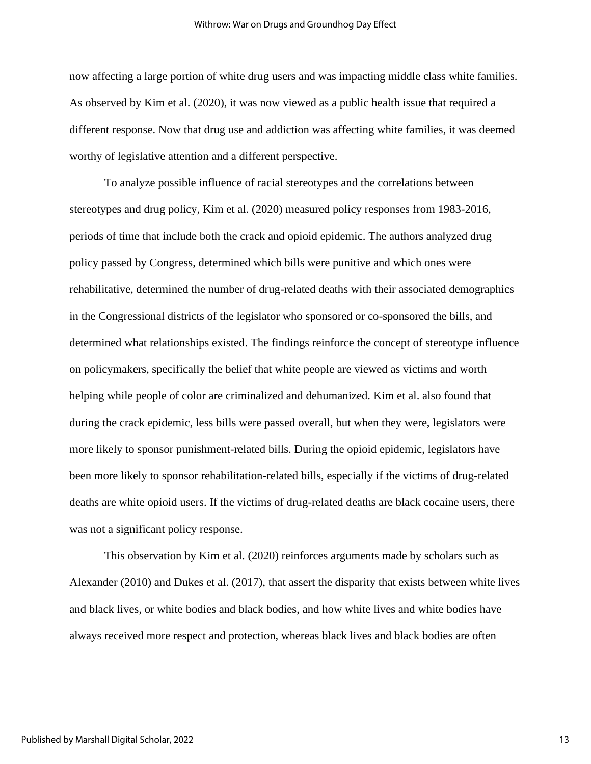now affecting a large portion of white drug users and was impacting middle class white families. As observed by Kim et al. (2020), it was now viewed as a public health issue that required a different response. Now that drug use and addiction was affecting white families, it was deemed worthy of legislative attention and a different perspective.

To analyze possible influence of racial stereotypes and the correlations between stereotypes and drug policy, Kim et al. (2020) measured policy responses from 1983-2016, periods of time that include both the crack and opioid epidemic. The authors analyzed drug policy passed by Congress, determined which bills were punitive and which ones were rehabilitative, determined the number of drug-related deaths with their associated demographics in the Congressional districts of the legislator who sponsored or co-sponsored the bills, and determined what relationships existed. The findings reinforce the concept of stereotype influence on policymakers, specifically the belief that white people are viewed as victims and worth helping while people of color are criminalized and dehumanized. Kim et al. also found that during the crack epidemic, less bills were passed overall, but when they were, legislators were more likely to sponsor punishment-related bills. During the opioid epidemic, legislators have been more likely to sponsor rehabilitation-related bills, especially if the victims of drug-related deaths are white opioid users. If the victims of drug-related deaths are black cocaine users, there was not a significant policy response.

This observation by Kim et al. (2020) reinforces arguments made by scholars such as Alexander (2010) and Dukes et al. (2017), that assert the disparity that exists between white lives and black lives, or white bodies and black bodies, and how white lives and white bodies have always received more respect and protection, whereas black lives and black bodies are often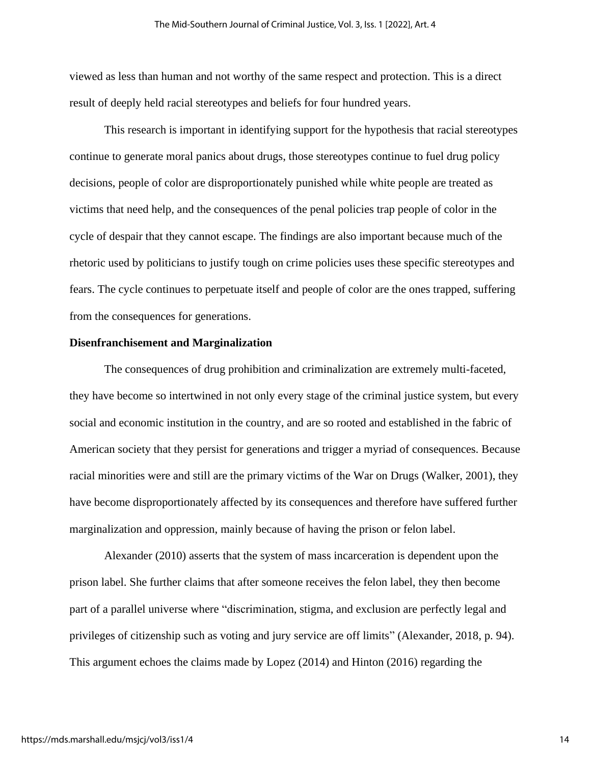viewed as less than human and not worthy of the same respect and protection. This is a direct result of deeply held racial stereotypes and beliefs for four hundred years.

This research is important in identifying support for the hypothesis that racial stereotypes continue to generate moral panics about drugs, those stereotypes continue to fuel drug policy decisions, people of color are disproportionately punished while white people are treated as victims that need help, and the consequences of the penal policies trap people of color in the cycle of despair that they cannot escape. The findings are also important because much of the rhetoric used by politicians to justify tough on crime policies uses these specific stereotypes and fears. The cycle continues to perpetuate itself and people of color are the ones trapped, suffering from the consequences for generations.

## **Disenfranchisement and Marginalization**

The consequences of drug prohibition and criminalization are extremely multi-faceted, they have become so intertwined in not only every stage of the criminal justice system, but every social and economic institution in the country, and are so rooted and established in the fabric of American society that they persist for generations and trigger a myriad of consequences. Because racial minorities were and still are the primary victims of the War on Drugs (Walker, 2001), they have become disproportionately affected by its consequences and therefore have suffered further marginalization and oppression, mainly because of having the prison or felon label.

Alexander (2010) asserts that the system of mass incarceration is dependent upon the prison label. She further claims that after someone receives the felon label, they then become part of a parallel universe where "discrimination, stigma, and exclusion are perfectly legal and privileges of citizenship such as voting and jury service are off limits" (Alexander, 2018, p. 94). This argument echoes the claims made by Lopez (2014) and Hinton (2016) regarding the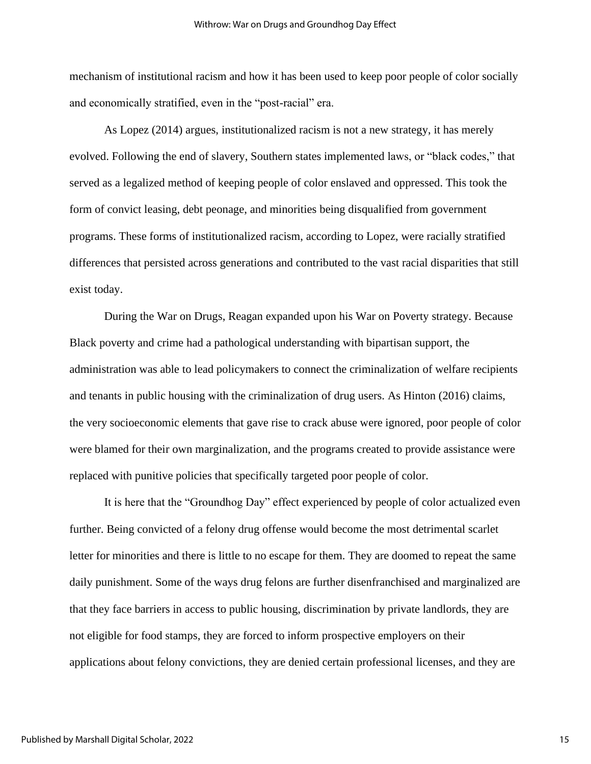mechanism of institutional racism and how it has been used to keep poor people of color socially and economically stratified, even in the "post-racial" era.

As Lopez (2014) argues, institutionalized racism is not a new strategy, it has merely evolved. Following the end of slavery, Southern states implemented laws, or "black codes," that served as a legalized method of keeping people of color enslaved and oppressed. This took the form of convict leasing, debt peonage, and minorities being disqualified from government programs. These forms of institutionalized racism, according to Lopez, were racially stratified differences that persisted across generations and contributed to the vast racial disparities that still exist today.

During the War on Drugs, Reagan expanded upon his War on Poverty strategy. Because Black poverty and crime had a pathological understanding with bipartisan support, the administration was able to lead policymakers to connect the criminalization of welfare recipients and tenants in public housing with the criminalization of drug users. As Hinton (2016) claims, the very socioeconomic elements that gave rise to crack abuse were ignored, poor people of color were blamed for their own marginalization, and the programs created to provide assistance were replaced with punitive policies that specifically targeted poor people of color.

It is here that the "Groundhog Day" effect experienced by people of color actualized even further. Being convicted of a felony drug offense would become the most detrimental scarlet letter for minorities and there is little to no escape for them. They are doomed to repeat the same daily punishment. Some of the ways drug felons are further disenfranchised and marginalized are that they face barriers in access to public housing, discrimination by private landlords, they are not eligible for food stamps, they are forced to inform prospective employers on their applications about felony convictions, they are denied certain professional licenses, and they are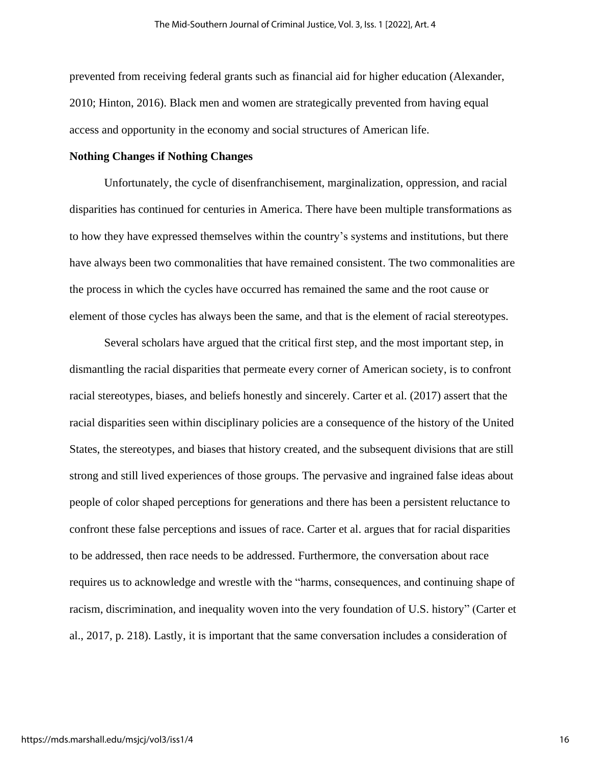prevented from receiving federal grants such as financial aid for higher education (Alexander, 2010; Hinton, 2016). Black men and women are strategically prevented from having equal access and opportunity in the economy and social structures of American life.

## **Nothing Changes if Nothing Changes**

Unfortunately, the cycle of disenfranchisement, marginalization, oppression, and racial disparities has continued for centuries in America. There have been multiple transformations as to how they have expressed themselves within the country's systems and institutions, but there have always been two commonalities that have remained consistent. The two commonalities are the process in which the cycles have occurred has remained the same and the root cause or element of those cycles has always been the same, and that is the element of racial stereotypes.

Several scholars have argued that the critical first step, and the most important step, in dismantling the racial disparities that permeate every corner of American society, is to confront racial stereotypes, biases, and beliefs honestly and sincerely. Carter et al. (2017) assert that the racial disparities seen within disciplinary policies are a consequence of the history of the United States, the stereotypes, and biases that history created, and the subsequent divisions that are still strong and still lived experiences of those groups. The pervasive and ingrained false ideas about people of color shaped perceptions for generations and there has been a persistent reluctance to confront these false perceptions and issues of race. Carter et al. argues that for racial disparities to be addressed, then race needs to be addressed. Furthermore, the conversation about race requires us to acknowledge and wrestle with the "harms, consequences, and continuing shape of racism, discrimination, and inequality woven into the very foundation of U.S. history" (Carter et al., 2017, p. 218). Lastly, it is important that the same conversation includes a consideration of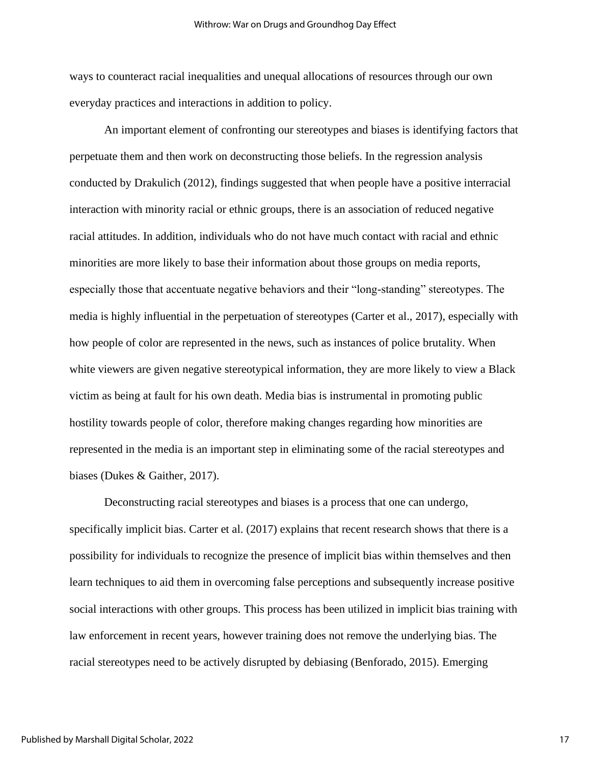ways to counteract racial inequalities and unequal allocations of resources through our own everyday practices and interactions in addition to policy.

An important element of confronting our stereotypes and biases is identifying factors that perpetuate them and then work on deconstructing those beliefs. In the regression analysis conducted by Drakulich (2012), findings suggested that when people have a positive interracial interaction with minority racial or ethnic groups, there is an association of reduced negative racial attitudes. In addition, individuals who do not have much contact with racial and ethnic minorities are more likely to base their information about those groups on media reports, especially those that accentuate negative behaviors and their "long-standing" stereotypes. The media is highly influential in the perpetuation of stereotypes (Carter et al., 2017), especially with how people of color are represented in the news, such as instances of police brutality. When white viewers are given negative stereotypical information, they are more likely to view a Black victim as being at fault for his own death. Media bias is instrumental in promoting public hostility towards people of color, therefore making changes regarding how minorities are represented in the media is an important step in eliminating some of the racial stereotypes and biases (Dukes & Gaither, 2017).

Deconstructing racial stereotypes and biases is a process that one can undergo, specifically implicit bias. Carter et al. (2017) explains that recent research shows that there is a possibility for individuals to recognize the presence of implicit bias within themselves and then learn techniques to aid them in overcoming false perceptions and subsequently increase positive social interactions with other groups. This process has been utilized in implicit bias training with law enforcement in recent years, however training does not remove the underlying bias. The racial stereotypes need to be actively disrupted by debiasing (Benforado, 2015). Emerging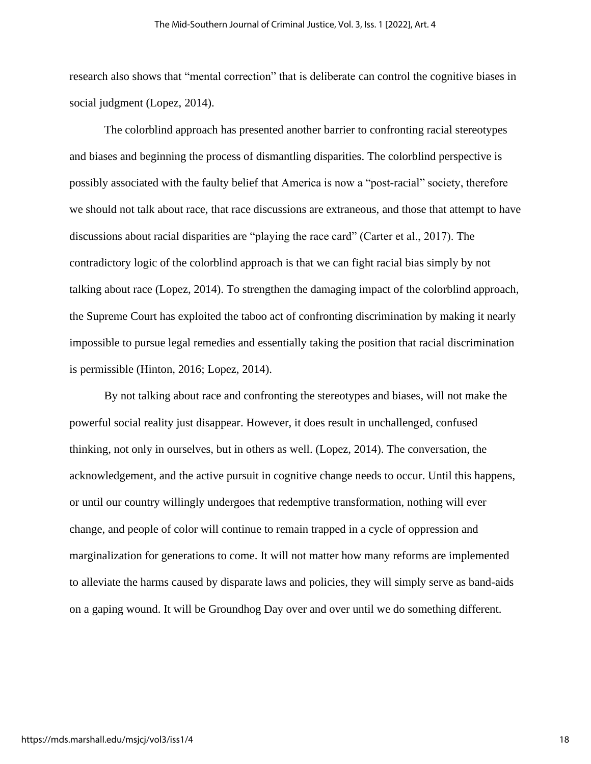research also shows that "mental correction" that is deliberate can control the cognitive biases in social judgment (Lopez, 2014).

The colorblind approach has presented another barrier to confronting racial stereotypes and biases and beginning the process of dismantling disparities. The colorblind perspective is possibly associated with the faulty belief that America is now a "post-racial" society, therefore we should not talk about race, that race discussions are extraneous, and those that attempt to have discussions about racial disparities are "playing the race card" (Carter et al., 2017). The contradictory logic of the colorblind approach is that we can fight racial bias simply by not talking about race (Lopez, 2014). To strengthen the damaging impact of the colorblind approach, the Supreme Court has exploited the taboo act of confronting discrimination by making it nearly impossible to pursue legal remedies and essentially taking the position that racial discrimination is permissible (Hinton, 2016; Lopez, 2014).

By not talking about race and confronting the stereotypes and biases, will not make the powerful social reality just disappear. However, it does result in unchallenged, confused thinking, not only in ourselves, but in others as well. (Lopez, 2014). The conversation, the acknowledgement, and the active pursuit in cognitive change needs to occur. Until this happens, or until our country willingly undergoes that redemptive transformation, nothing will ever change, and people of color will continue to remain trapped in a cycle of oppression and marginalization for generations to come. It will not matter how many reforms are implemented to alleviate the harms caused by disparate laws and policies, they will simply serve as band-aids on a gaping wound. It will be Groundhog Day over and over until we do something different.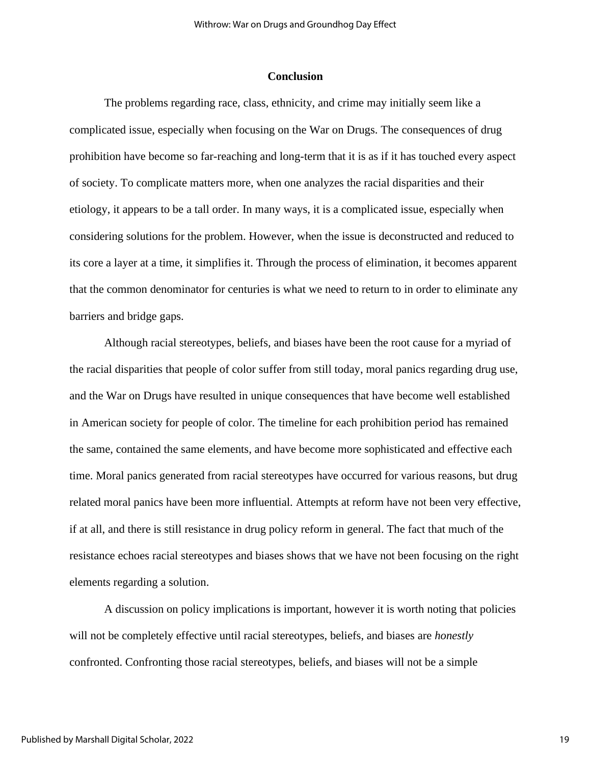## **Conclusion**

The problems regarding race, class, ethnicity, and crime may initially seem like a complicated issue, especially when focusing on the War on Drugs. The consequences of drug prohibition have become so far-reaching and long-term that it is as if it has touched every aspect of society. To complicate matters more, when one analyzes the racial disparities and their etiology, it appears to be a tall order. In many ways, it is a complicated issue, especially when considering solutions for the problem. However, when the issue is deconstructed and reduced to its core a layer at a time, it simplifies it. Through the process of elimination, it becomes apparent that the common denominator for centuries is what we need to return to in order to eliminate any barriers and bridge gaps.

Although racial stereotypes, beliefs, and biases have been the root cause for a myriad of the racial disparities that people of color suffer from still today, moral panics regarding drug use, and the War on Drugs have resulted in unique consequences that have become well established in American society for people of color. The timeline for each prohibition period has remained the same, contained the same elements, and have become more sophisticated and effective each time. Moral panics generated from racial stereotypes have occurred for various reasons, but drug related moral panics have been more influential. Attempts at reform have not been very effective, if at all, and there is still resistance in drug policy reform in general. The fact that much of the resistance echoes racial stereotypes and biases shows that we have not been focusing on the right elements regarding a solution.

A discussion on policy implications is important, however it is worth noting that policies will not be completely effective until racial stereotypes, beliefs, and biases are *honestly*  confronted. Confronting those racial stereotypes, beliefs, and biases will not be a simple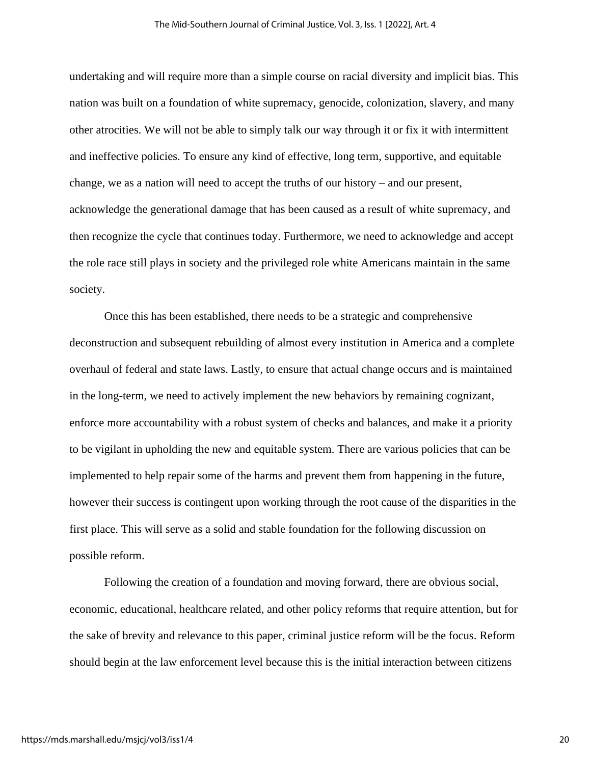undertaking and will require more than a simple course on racial diversity and implicit bias. This nation was built on a foundation of white supremacy, genocide, colonization, slavery, and many other atrocities. We will not be able to simply talk our way through it or fix it with intermittent and ineffective policies. To ensure any kind of effective, long term, supportive, and equitable change, we as a nation will need to accept the truths of our history – and our present, acknowledge the generational damage that has been caused as a result of white supremacy, and then recognize the cycle that continues today. Furthermore, we need to acknowledge and accept the role race still plays in society and the privileged role white Americans maintain in the same society.

Once this has been established, there needs to be a strategic and comprehensive deconstruction and subsequent rebuilding of almost every institution in America and a complete overhaul of federal and state laws. Lastly, to ensure that actual change occurs and is maintained in the long-term, we need to actively implement the new behaviors by remaining cognizant, enforce more accountability with a robust system of checks and balances, and make it a priority to be vigilant in upholding the new and equitable system. There are various policies that can be implemented to help repair some of the harms and prevent them from happening in the future, however their success is contingent upon working through the root cause of the disparities in the first place. This will serve as a solid and stable foundation for the following discussion on possible reform.

Following the creation of a foundation and moving forward, there are obvious social, economic, educational, healthcare related, and other policy reforms that require attention, but for the sake of brevity and relevance to this paper, criminal justice reform will be the focus. Reform should begin at the law enforcement level because this is the initial interaction between citizens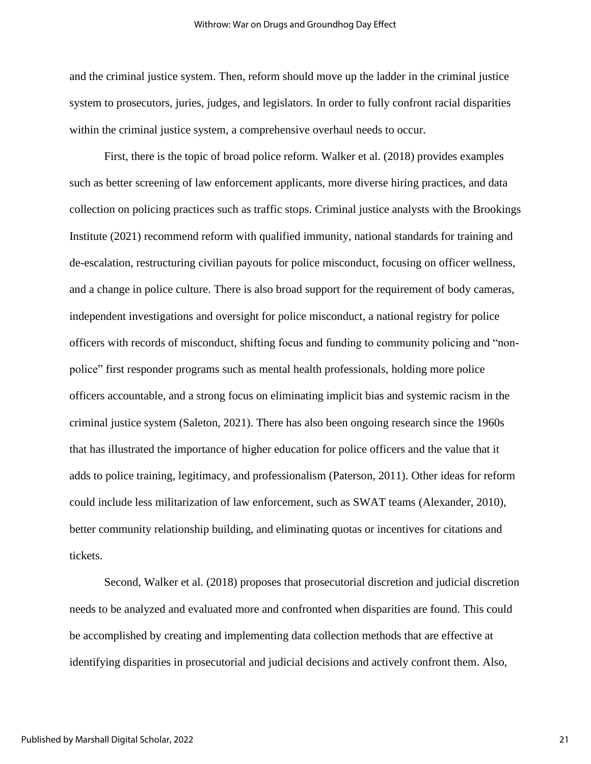and the criminal justice system. Then, reform should move up the ladder in the criminal justice system to prosecutors, juries, judges, and legislators. In order to fully confront racial disparities within the criminal justice system, a comprehensive overhaul needs to occur.

First, there is the topic of broad police reform. Walker et al. (2018) provides examples such as better screening of law enforcement applicants, more diverse hiring practices, and data collection on policing practices such as traffic stops. Criminal justice analysts with the Brookings Institute (2021) recommend reform with qualified immunity, national standards for training and de-escalation, restructuring civilian payouts for police misconduct, focusing on officer wellness, and a change in police culture. There is also broad support for the requirement of body cameras, independent investigations and oversight for police misconduct, a national registry for police officers with records of misconduct, shifting focus and funding to community policing and "nonpolice" first responder programs such as mental health professionals, holding more police officers accountable, and a strong focus on eliminating implicit bias and systemic racism in the criminal justice system (Saleton, 2021). There has also been ongoing research since the 1960s that has illustrated the importance of higher education for police officers and the value that it adds to police training, legitimacy, and professionalism (Paterson, 2011). Other ideas for reform could include less militarization of law enforcement, such as SWAT teams (Alexander, 2010), better community relationship building, and eliminating quotas or incentives for citations and tickets.

Second, Walker et al. (2018) proposes that prosecutorial discretion and judicial discretion needs to be analyzed and evaluated more and confronted when disparities are found. This could be accomplished by creating and implementing data collection methods that are effective at identifying disparities in prosecutorial and judicial decisions and actively confront them. Also,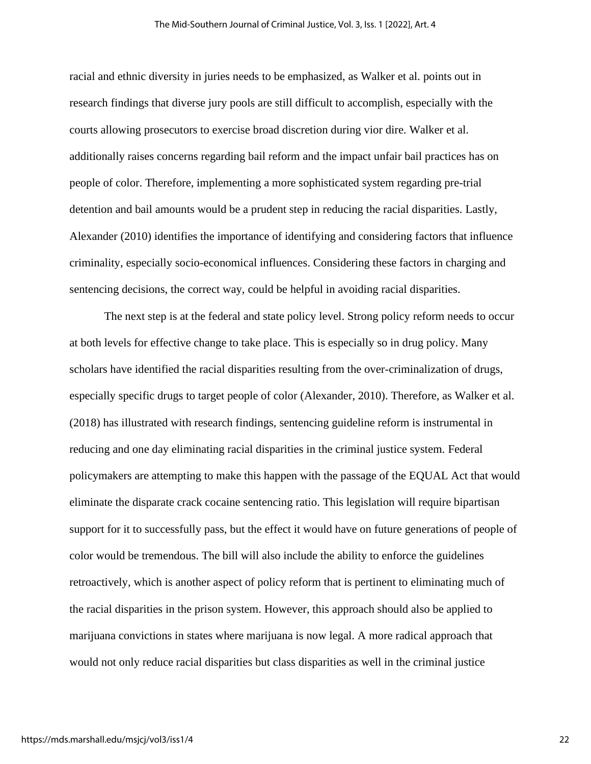racial and ethnic diversity in juries needs to be emphasized, as Walker et al. points out in research findings that diverse jury pools are still difficult to accomplish, especially with the courts allowing prosecutors to exercise broad discretion during vior dire. Walker et al. additionally raises concerns regarding bail reform and the impact unfair bail practices has on people of color. Therefore, implementing a more sophisticated system regarding pre-trial detention and bail amounts would be a prudent step in reducing the racial disparities. Lastly, Alexander (2010) identifies the importance of identifying and considering factors that influence criminality, especially socio-economical influences. Considering these factors in charging and sentencing decisions, the correct way, could be helpful in avoiding racial disparities.

The next step is at the federal and state policy level. Strong policy reform needs to occur at both levels for effective change to take place. This is especially so in drug policy. Many scholars have identified the racial disparities resulting from the over-criminalization of drugs, especially specific drugs to target people of color (Alexander, 2010). Therefore, as Walker et al. (2018) has illustrated with research findings, sentencing guideline reform is instrumental in reducing and one day eliminating racial disparities in the criminal justice system. Federal policymakers are attempting to make this happen with the passage of the EQUAL Act that would eliminate the disparate crack cocaine sentencing ratio. This legislation will require bipartisan support for it to successfully pass, but the effect it would have on future generations of people of color would be tremendous. The bill will also include the ability to enforce the guidelines retroactively, which is another aspect of policy reform that is pertinent to eliminating much of the racial disparities in the prison system. However, this approach should also be applied to marijuana convictions in states where marijuana is now legal. A more radical approach that would not only reduce racial disparities but class disparities as well in the criminal justice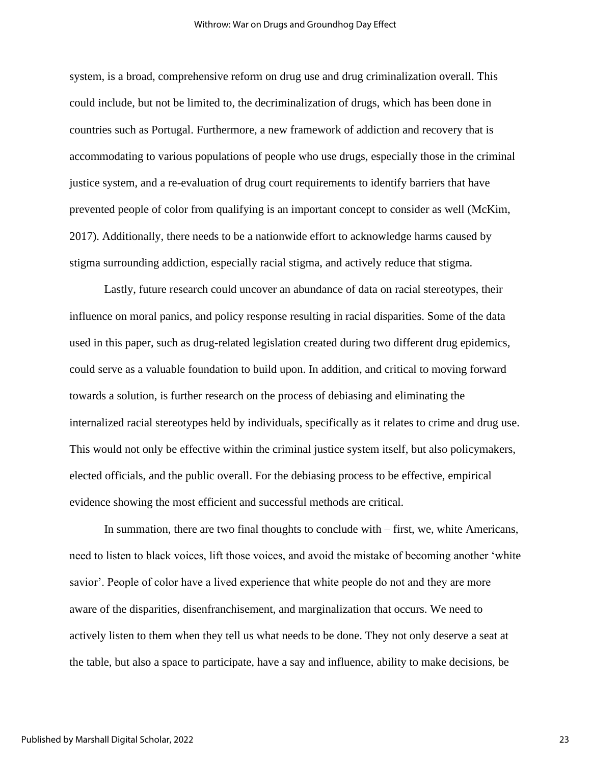system, is a broad, comprehensive reform on drug use and drug criminalization overall. This could include, but not be limited to, the decriminalization of drugs, which has been done in countries such as Portugal. Furthermore, a new framework of addiction and recovery that is accommodating to various populations of people who use drugs, especially those in the criminal justice system, and a re-evaluation of drug court requirements to identify barriers that have prevented people of color from qualifying is an important concept to consider as well (McKim, 2017). Additionally, there needs to be a nationwide effort to acknowledge harms caused by stigma surrounding addiction, especially racial stigma, and actively reduce that stigma.

Lastly, future research could uncover an abundance of data on racial stereotypes, their influence on moral panics, and policy response resulting in racial disparities. Some of the data used in this paper, such as drug-related legislation created during two different drug epidemics, could serve as a valuable foundation to build upon. In addition, and critical to moving forward towards a solution, is further research on the process of debiasing and eliminating the internalized racial stereotypes held by individuals, specifically as it relates to crime and drug use. This would not only be effective within the criminal justice system itself, but also policymakers, elected officials, and the public overall. For the debiasing process to be effective, empirical evidence showing the most efficient and successful methods are critical.

In summation, there are two final thoughts to conclude with – first, we, white Americans, need to listen to black voices, lift those voices, and avoid the mistake of becoming another 'white savior'. People of color have a lived experience that white people do not and they are more aware of the disparities, disenfranchisement, and marginalization that occurs. We need to actively listen to them when they tell us what needs to be done. They not only deserve a seat at the table, but also a space to participate, have a say and influence, ability to make decisions, be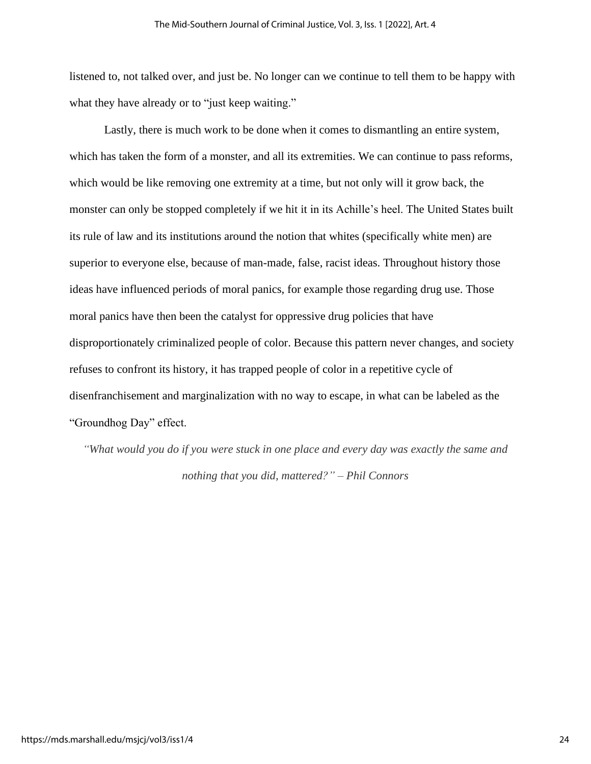listened to, not talked over, and just be. No longer can we continue to tell them to be happy with what they have already or to "just keep waiting."

Lastly, there is much work to be done when it comes to dismantling an entire system, which has taken the form of a monster, and all its extremities. We can continue to pass reforms, which would be like removing one extremity at a time, but not only will it grow back, the monster can only be stopped completely if we hit it in its Achille's heel. The United States built its rule of law and its institutions around the notion that whites (specifically white men) are superior to everyone else, because of man-made, false, racist ideas. Throughout history those ideas have influenced periods of moral panics, for example those regarding drug use. Those moral panics have then been the catalyst for oppressive drug policies that have disproportionately criminalized people of color. Because this pattern never changes, and society refuses to confront its history, it has trapped people of color in a repetitive cycle of disenfranchisement and marginalization with no way to escape, in what can be labeled as the "Groundhog Day" effect.

*"What would you do if you were stuck in one place and every day was exactly the same and nothing that you did, mattered?" – Phil Connors*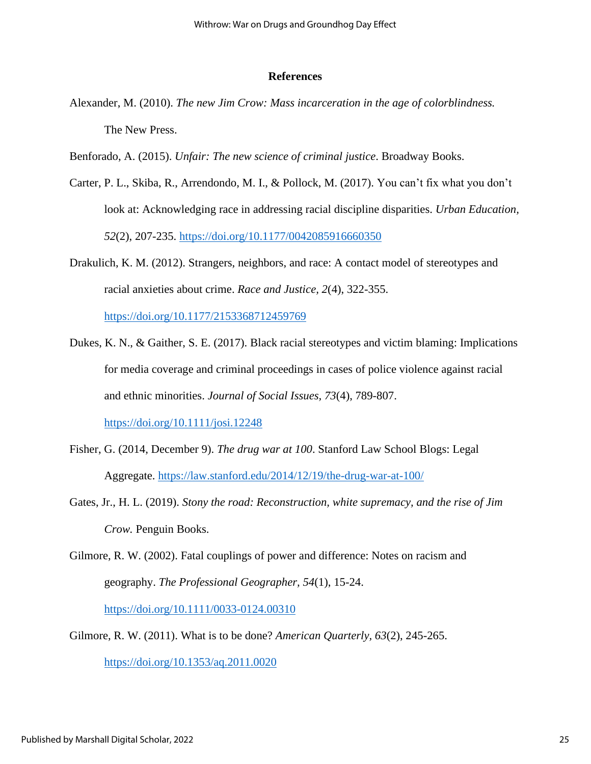## **References**

- Alexander, M. (2010). *The new Jim Crow: Mass incarceration in the age of colorblindness.* The New Press.
- Benforado, A. (2015). *Unfair: The new science of criminal justice*. Broadway Books.
- Carter, P. L., Skiba, R., Arrendondo, M. I., & Pollock, M. (2017). You can't fix what you don't look at: Acknowledging race in addressing racial discipline disparities. *Urban Education, 52*(2), 207-235.<https://doi.org/10.1177/0042085916660350>
- Drakulich, K. M. (2012). Strangers, neighbors, and race: A contact model of stereotypes and racial anxieties about crime. *Race and Justice, 2*(4), 322-355.

<https://doi.org/10.1177/2153368712459769>

- Dukes, K. N., & Gaither, S. E. (2017). Black racial stereotypes and victim blaming: Implications for media coverage and criminal proceedings in cases of police violence against racial and ethnic minorities. *Journal of Social Issues, 73*(4), 789-807. <https://doi.org/10.1111/josi.12248>
- Fisher, G. (2014, December 9). *The drug war at 100*. Stanford Law School Blogs: Legal Aggregate.<https://law.stanford.edu/2014/12/19/the-drug-war-at-100/>
- Gates, Jr., H. L. (2019). *Stony the road: Reconstruction, white supremacy, and the rise of Jim Crow.* Penguin Books.
- Gilmore, R. W. (2002). Fatal couplings of power and difference: Notes on racism and geography. *The Professional Geographer, 54*(1), 15-24.

<https://doi.org/10.1111/0033-0124.00310>

Gilmore, R. W. (2011). What is to be done? *American Quarterly, 63*(2), 245-265.

<https://doi.org/10.1353/aq.2011.0020>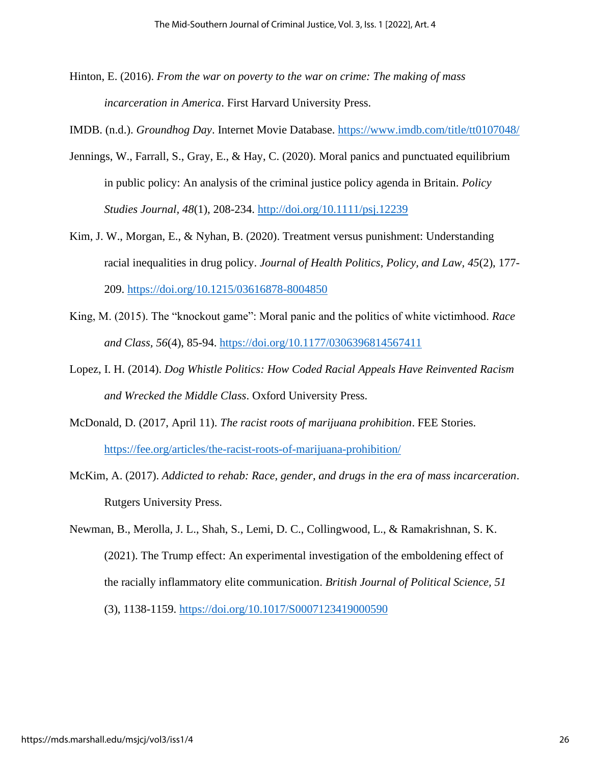- Hinton, E. (2016). *From the war on poverty to the war on crime: The making of mass incarceration in America*. First Harvard University Press.
- IMDB. (n.d.). *Groundhog Day*. Internet Movie Database.<https://www.imdb.com/title/tt0107048/>
- Jennings, W., Farrall, S., Gray, E., & Hay, C. (2020). Moral panics and punctuated equilibrium in public policy: An analysis of the criminal justice policy agenda in Britain. *Policy Studies Journal, 48*(1), 208-234.<http://doi.org/10.1111/psj.12239>
- Kim, J. W., Morgan, E., & Nyhan, B. (2020). Treatment versus punishment: Understanding racial inequalities in drug policy. *Journal of Health Politics, Policy, and Law, 45*(2), 177- 209.<https://doi.org/10.1215/03616878-8004850>
- King, M. (2015). The "knockout game": Moral panic and the politics of white victimhood. *Race and Class, 56*(4), 85-94.<https://doi.org/10.1177/0306396814567411>
- Lopez, I. H. (2014). *Dog Whistle Politics: How Coded Racial Appeals Have Reinvented Racism and Wrecked the Middle Class*. Oxford University Press.
- McDonald, D. (2017, April 11). *The racist roots of marijuana prohibition*. FEE Stories. <https://fee.org/articles/the-racist-roots-of-marijuana-prohibition/>
- McKim, A. (2017). *Addicted to rehab: Race, gender, and drugs in the era of mass incarceration*. Rutgers University Press.
- Newman, B., Merolla, J. L., Shah, S., Lemi, D. C., Collingwood, L., & Ramakrishnan, S. K. (2021). The Trump effect: An experimental investigation of the emboldening effect of the racially inflammatory elite communication. *British Journal of Political Science, 51* (3), 1138-1159.<https://doi.org/10.1017/S0007123419000590>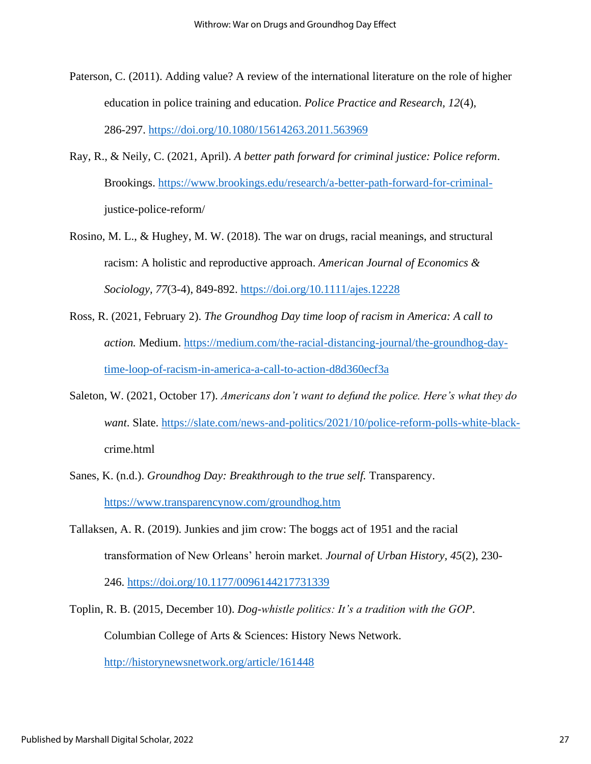- Paterson, C. (2011). Adding value? A review of the international literature on the role of higher education in police training and education. *Police Practice and Research, 12*(4), 286-297.<https://doi.org/10.1080/15614263.2011.563969>
- Ray, R., & Neily, C. (2021, April). *A better path forward for criminal justice: Police reform*. Brookings. [https://www.brookings.edu/research/a-better-path-forward-for-criminal](https://www.brookings.edu/research/a-better-path-forward-for-criminal-)justice-police-reform/
- Rosino, M. L., & Hughey, M. W. (2018). The war on drugs, racial meanings, and structural racism: A holistic and reproductive approach. *American Journal of Economics & Sociology, 77*(3-4), 849-892.<https://doi.org/10.1111/ajes.12228>
- Ross, R. (2021, February 2). *The Groundhog Day time loop of racism in America: A call to action.* Medium. [https://medium.com/the-racial-distancing-journal/the-groundhog-day](https://medium.com/the-racial-distancing-journal/the-groundhog-day-time-loop-of-racism-in-america-a-call-to-action-d8d360ecf3a)[time-loop-of-racism-in-america-a-call-to-action-d8d360ecf3a](https://medium.com/the-racial-distancing-journal/the-groundhog-day-time-loop-of-racism-in-america-a-call-to-action-d8d360ecf3a)
- Saleton, W. (2021, October 17). *Americans don't want to defund the police. Here's what they do want*. Slate. [https://slate.com/news-and-politics/2021/10/police-reform-polls-white-black](https://slate.com/news-and-politics/2021/10/police-reform-polls-white-black-)crime.html
- Sanes, K. (n.d.). *Groundhog Day: Breakthrough to the true self.* Transparency. <https://www.transparencynow.com/groundhog.htm>
- Tallaksen, A. R. (2019). Junkies and jim crow: The boggs act of 1951 and the racial transformation of New Orleans' heroin market. *Journal of Urban History, 45*(2), 230- 246.<https://doi.org/10.1177/0096144217731339>
- Toplin, R. B. (2015, December 10). *Dog-whistle politics: It's a tradition with the GOP*. Columbian College of Arts & Sciences: History News Network.

<http://historynewsnetwork.org/article/161448>